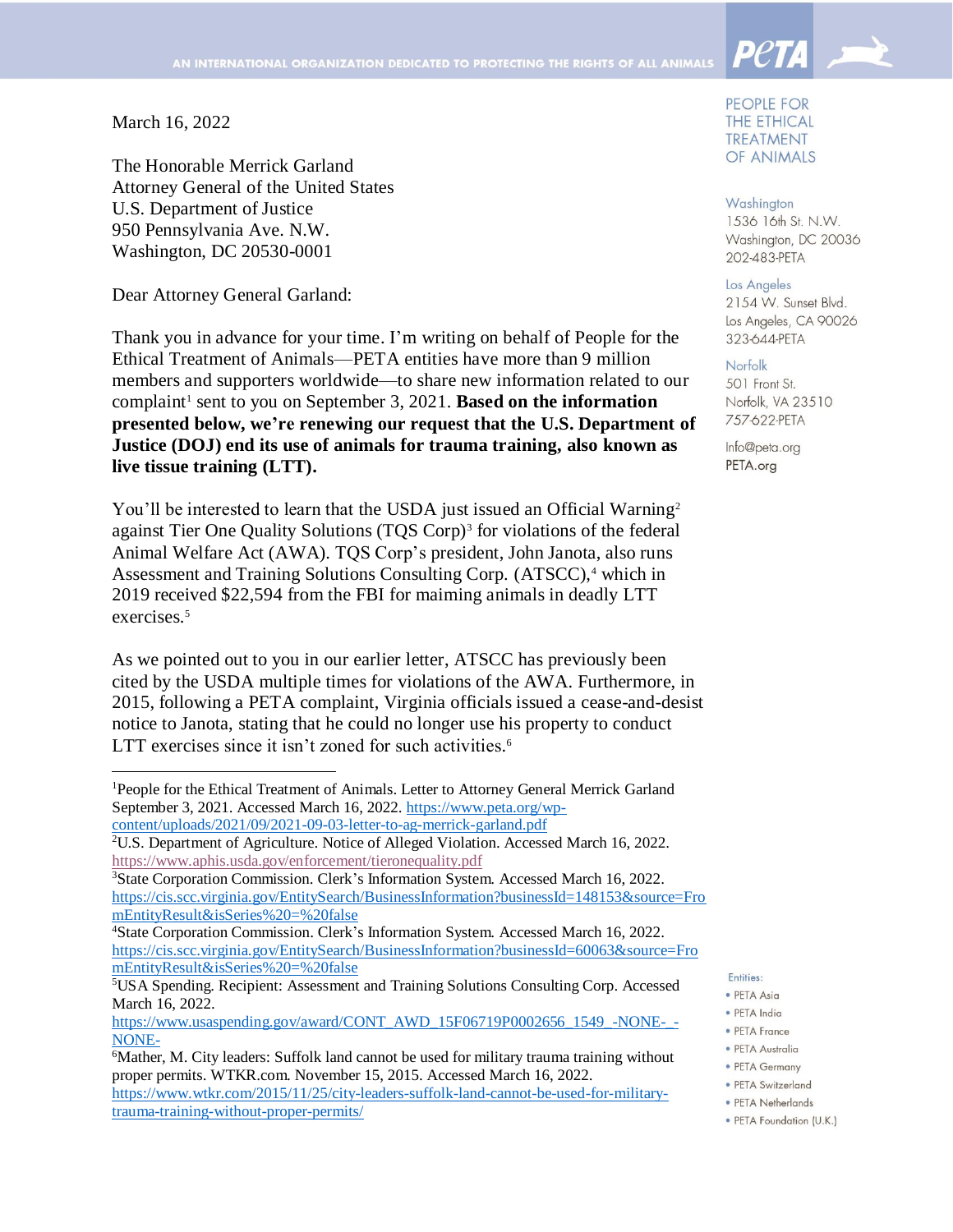March 16, 2022

 $\overline{a}$ 

The Honorable Merrick Garland Attorney General of the United States U.S. Department of Justice 950 Pennsylvania Ave. N.W. Washington, DC 20530-0001

Dear Attorney General Garland:

Thank you in advance for your time. I'm writing on behalf of People for the Ethical Treatment of Animals—PETA entities have more than 9 million members and supporters worldwide—to share new information related to our complaint<sup>1</sup> sent to you on September 3, 2021. **Based on the information presented below, we're renewing our request that the U.S. Department of Justice (DOJ) end its use of animals for trauma training, also known as live tissue training (LTT).**

You'll be interested to learn that the USDA just issued an Official Warning<sup>2</sup> against Tier One Quality Solutions (TQS Corp)<sup>3</sup> for violations of the federal Animal Welfare Act (AWA). TQS Corp's president, John Janota, also runs Assessment and Training Solutions Consulting Corp. (ATSCC),<sup>4</sup> which in 2019 received \$22,594 from the FBI for maiming animals in deadly LTT exercises. 5

As we pointed out to you in our earlier letter, ATSCC has previously been cited by the USDA multiple times for violations of the AWA. Furthermore, in 2015, following a PETA complaint, Virginia officials issued a cease-and-desist notice to Janota, stating that he could no longer use his property to conduct LTT exercises since it isn't zoned for such activities.<sup>6</sup>

PEOPLE FOR THE ETHICAL **TREATMENT** OF ANIMALS

Washington 1536 16th St. N.W. Washington, DC 20036 202-483-PETA

Los Angeles 2154 W. Sunset Blvd. Los Angeles, CA 90026 323-644-PETA

## Norfolk

501 Front St. Norfolk, VA 23510 757-622-PETA

Info@peta.org PETA.org

Entities:

- · PETA Asia · PETA India
- PETA France
- · PETA Australia
- PETA Germany

- PETA Netherlands
- · PETA Foundation (U.K.)

<sup>1</sup>People for the Ethical Treatment of Animals. Letter to Attorney General Merrick Garland September 3, 2021. Accessed March 16, 2022. [https://www.peta.org/wp](https://www.peta.org/wp-content/uploads/2021/09/2021-09-03-letter-to-ag-merrick-garland.pdf)[content/uploads/2021/09/2021-09-03-letter-to-ag-merrick-garland.pdf](https://www.peta.org/wp-content/uploads/2021/09/2021-09-03-letter-to-ag-merrick-garland.pdf)

<sup>2</sup>U.S. Department of Agriculture. Notice of Alleged Violation. Accessed March 16, 2022. <https://www.aphis.usda.gov/enforcement/tieronequality.pdf>

<sup>3</sup>State Corporation Commission. Clerk's Information System. Accessed March 16, 2022. [https://cis.scc.virginia.gov/EntitySearch/BusinessInformation?businessId=148153&source=Fro](https://cis.scc.virginia.gov/EntitySearch/BusinessInformation?businessId=148153&source=FromEntityResult&isSeries%20=%20false) [mEntityResult&isSeries%20=%20false](https://cis.scc.virginia.gov/EntitySearch/BusinessInformation?businessId=148153&source=FromEntityResult&isSeries%20=%20false)

<sup>4</sup>State Corporation Commission. Clerk's Information System. Accessed March 16, 2022. [https://cis.scc.virginia.gov/EntitySearch/BusinessInformation?businessId=60063&source=Fro](https://cis.scc.virginia.gov/EntitySearch/BusinessInformation?businessId=60063&source=FromEntityResult&isSeries%20=%20false) [mEntityResult&isSeries%20=%20false](https://cis.scc.virginia.gov/EntitySearch/BusinessInformation?businessId=60063&source=FromEntityResult&isSeries%20=%20false)

<sup>5</sup>USA Spending. Recipient: Assessment and Training Solutions Consulting Corp. Accessed March 16, 2022.

[https://www.usaspending.gov/award/CONT\\_AWD\\_15F06719P0002656\\_1549\\_-NONE-\\_-](https://www.usaspending.gov/award/CONT_AWD_15F06719P0002656_1549_-NONE-_-NONE-) [NONE-](https://www.usaspending.gov/award/CONT_AWD_15F06719P0002656_1549_-NONE-_-NONE-)

<sup>&</sup>lt;sup>6</sup>Mather, M. City leaders: Suffolk land cannot be used for military trauma training without proper permits. WTKR.com. November 15, 2015. Accessed March 16, 2022. [https://www.wtkr.com/2015/11/25/city-leaders-suffolk-land-cannot-be-used-for-military](https://www.wtkr.com/2015/11/25/city-leaders-suffolk-land-cannot-be-used-for-military-trauma-training-without-proper-permits/)[trauma-training-without-proper-permits/](https://www.wtkr.com/2015/11/25/city-leaders-suffolk-land-cannot-be-used-for-military-trauma-training-without-proper-permits/)

<sup>·</sup> PETA Switzerland